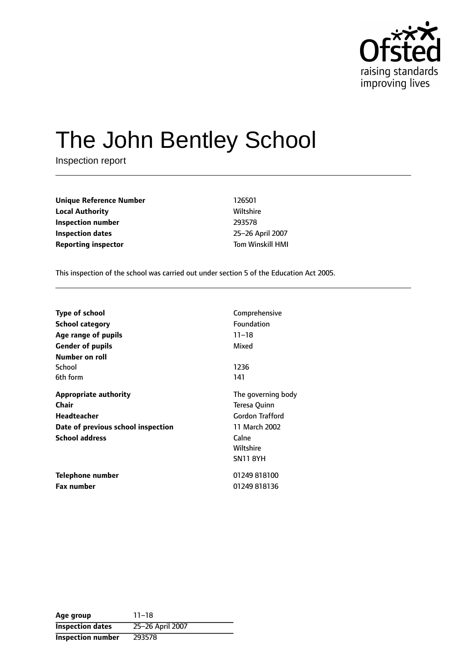

# The John Bentley School

Inspection report

| <b>Unique Reference Number</b> | 126501                  |
|--------------------------------|-------------------------|
| <b>Local Authority</b>         | Wiltshire               |
| Inspection number              | 293578                  |
| <b>Inspection dates</b>        | 25-26 April 2007        |
| <b>Reporting inspector</b>     | <b>Tom Winskill HMI</b> |

This inspection of the school was carried out under section 5 of the Education Act 2005.

| <b>Type of school</b>              | Comprehensive          |  |  |
|------------------------------------|------------------------|--|--|
| School category                    | Foundation             |  |  |
| Age range of pupils                | $11 - 18$              |  |  |
| <b>Gender of pupils</b>            | Mixed                  |  |  |
| Number on roll                     |                        |  |  |
| School                             | 1236                   |  |  |
| 6th form                           | 141                    |  |  |
| <b>Appropriate authority</b>       | The governing body     |  |  |
| Chair                              | Teresa Quinn           |  |  |
| Headteacher                        | <b>Gordon Trafford</b> |  |  |
| Date of previous school inspection | 11 March 2002          |  |  |
| <b>School address</b>              | Calne                  |  |  |
|                                    | Wiltshire              |  |  |
|                                    | <b>SN11 8YH</b>        |  |  |
| Telephone number                   | 01249818100            |  |  |
| <b>Fax number</b>                  | 01249818136            |  |  |

**Age** group 11-18 **Inspection dates** 25-26 April 2007 **Inspection number** 293578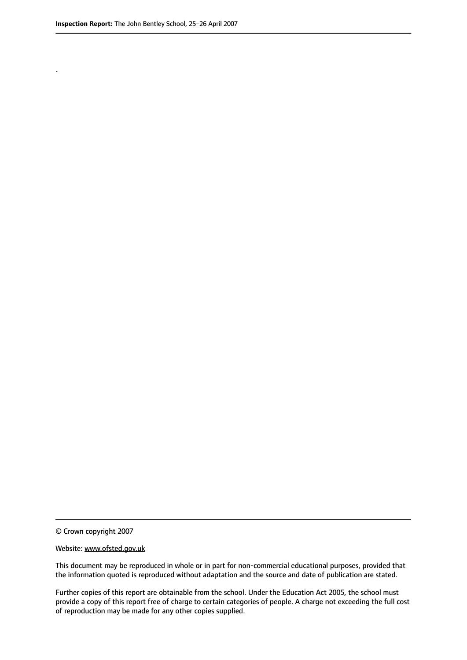.

© Crown copyright 2007

#### Website: www.ofsted.gov.uk

This document may be reproduced in whole or in part for non-commercial educational purposes, provided that the information quoted is reproduced without adaptation and the source and date of publication are stated.

Further copies of this report are obtainable from the school. Under the Education Act 2005, the school must provide a copy of this report free of charge to certain categories of people. A charge not exceeding the full cost of reproduction may be made for any other copies supplied.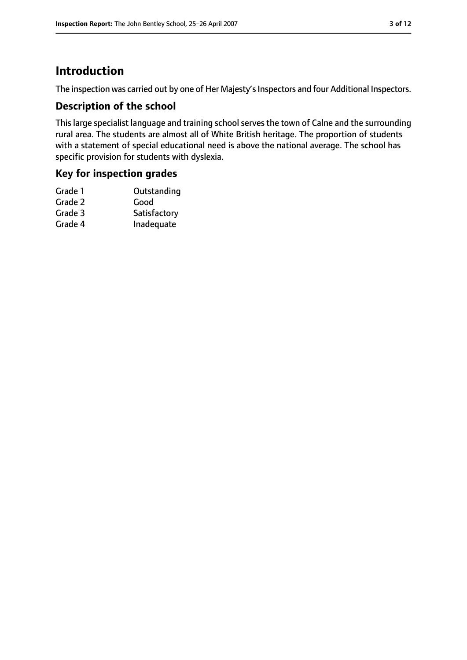# **Introduction**

The inspection was carried out by one of Her Majesty's Inspectors and four Additional Inspectors.

## **Description of the school**

This large specialist language and training school serves the town of Calne and the surrounding rural area. The students are almost all of White British heritage. The proportion of students with a statement of special educational need is above the national average. The school has specific provision for students with dyslexia.

## **Key for inspection grades**

| Good         |
|--------------|
| Satisfactory |
| Inadequate   |
|              |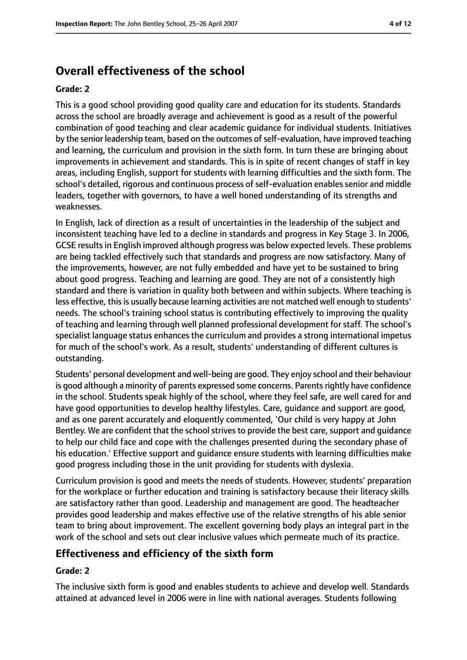# **Overall effectiveness of the school**

#### **Grade: 2**

This is a good school providing good quality care and education for its students. Standards across the school are broadly average and achievement is good as a result of the powerful combination of good teaching and clear academic guidance for individual students. Initiatives by the senior leadership team, based on the outcomes of self-evaluation, have improved teaching and learning, the curriculum and provision in the sixth form. In turn these are bringing about improvements in achievement and standards. This is in spite of recent changes of staff in key areas, including English, support for students with learning difficulties and the sixth form. The school's detailed, rigorous and continuous process of self-evaluation enables senior and middle leaders, together with governors, to have a well honed understanding of its strengths and weaknesses.

In English, lack of direction as a result of uncertainties in the leadership of the subject and inconsistent teaching have led to a decline in standards and progress in Key Stage 3. In 2006, GCSE resultsin English improved although progress was below expected levels. These problems are being tackled effectively such that standards and progress are now satisfactory. Many of the improvements, however, are not fully embedded and have yet to be sustained to bring about good progress. Teaching and learning are good. They are not of a consistently high standard and there is variation in quality both between and within subjects. Where teaching is less effective, this is usually because learning activities are not matched well enough to students' needs. The school's training school status is contributing effectively to improving the quality of teaching and learning through well planned professional development for staff. The school's specialist language status enhances the curriculum and provides a strong international impetus for much of the school's work. As a result, students' understanding of different cultures is outstanding.

Students' personal development and well-being are good. They enjoy school and their behaviour is good although a minority of parents expressed some concerns. Parents rightly have confidence in the school. Students speak highly of the school, where they feel safe, are well cared for and have good opportunities to develop healthy lifestyles. Care, guidance and support are good, and as one parent accurately and eloquently commented, 'Our child is very happy at John Bentley. We are confident that the school strives to provide the best care, support and guidance to help our child face and cope with the challenges presented during the secondary phase of his education.' Effective support and guidance ensure students with learning difficulties make good progress including those in the unit providing for students with dyslexia.

Curriculum provision is good and meets the needs of students. However, students' preparation for the workplace or further education and training is satisfactory because their literacy skills are satisfactory rather than good. Leadership and management are good. The headteacher provides good leadership and makes effective use of the relative strengths of his able senior team to bring about improvement. The excellent governing body plays an integral part in the work of the school and sets out clear inclusive values which permeate much of its practice.

## **Effectiveness and efficiency of the sixth form**

#### **Grade: 2**

The inclusive sixth form is good and enables students to achieve and develop well. Standards attained at advanced level in 2006 were in line with national averages. Students following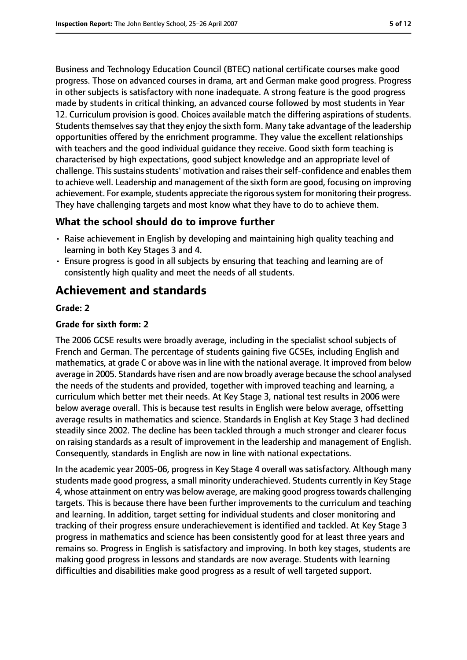Business and Technology Education Council (BTEC) national certificate courses make good progress. Those on advanced courses in drama, art and German make good progress. Progress in other subjects is satisfactory with none inadequate. A strong feature is the good progress made by students in critical thinking, an advanced course followed by most students in Year 12. Curriculum provision is good. Choices available match the differing aspirations of students. Students themselves say that they enjoy the sixth form. Many take advantage of the leadership opportunities offered by the enrichment programme. They value the excellent relationships with teachers and the good individual guidance they receive. Good sixth form teaching is characterised by high expectations, good subject knowledge and an appropriate level of challenge. This sustains students' motivation and raises their self-confidence and enables them to achieve well. Leadership and management of the sixth form are good, focusing on improving achievement. For example, students appreciate the rigorous system for monitoring their progress. They have challenging targets and most know what they have to do to achieve them.

## **What the school should do to improve further**

- Raise achievement in English by developing and maintaining high quality teaching and learning in both Key Stages 3 and 4.
- Ensure progress is good in all subjects by ensuring that teaching and learning are of consistently high quality and meet the needs of all students.

# **Achievement and standards**

#### **Grade: 2**

#### **Grade for sixth form: 2**

The 2006 GCSE results were broadly average, including in the specialist school subjects of French and German. The percentage of students gaining five GCSEs, including English and mathematics, at grade C or above was in line with the national average. It improved from below average in 2005. Standards have risen and are now broadly average because the school analysed the needs of the students and provided, together with improved teaching and learning, a curriculum which better met their needs. At Key Stage 3, national test results in 2006 were below average overall. This is because test results in English were below average, offsetting average results in mathematics and science. Standards in English at Key Stage 3 had declined steadily since 2002. The decline has been tackled through a much stronger and clearer focus on raising standards as a result of improvement in the leadership and management of English. Consequently, standards in English are now in line with national expectations.

In the academic year 2005-06, progress in Key Stage 4 overall was satisfactory. Although many students made good progress, a small minority underachieved. Students currently in Key Stage 4, whose attainment on entry was below average, are making good progresstowards challenging targets. This is because there have been further improvements to the curriculum and teaching and learning. In addition, target setting for individual students and closer monitoring and tracking of their progress ensure underachievement is identified and tackled. At Key Stage 3 progress in mathematics and science has been consistently good for at least three years and remains so. Progress in English is satisfactory and improving. In both key stages, students are making good progress in lessons and standards are now average. Students with learning difficulties and disabilities make good progress as a result of well targeted support.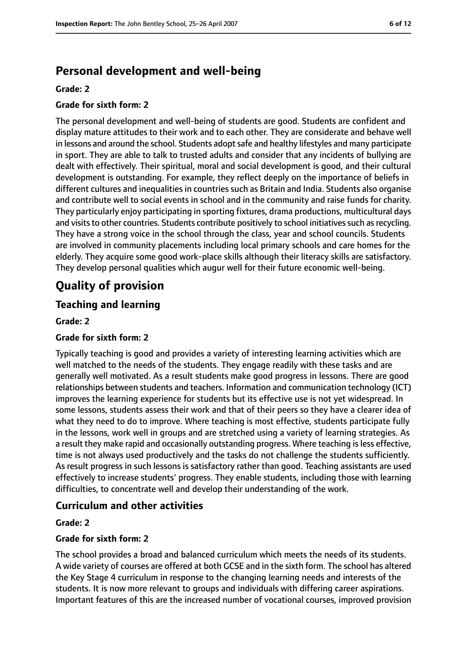# **Personal development and well-being**

#### **Grade: 2**

#### **Grade for sixth form: 2**

The personal development and well-being of students are good. Students are confident and display mature attitudes to their work and to each other. They are considerate and behave well in lessons and around the school. Students adopt safe and healthy lifestyles and many participate in sport. They are able to talk to trusted adults and consider that any incidents of bullying are dealt with effectively. Their spiritual, moral and social development is good, and their cultural development is outstanding. For example, they reflect deeply on the importance of beliefs in different cultures and inequalities in countries such as Britain and India. Students also organise and contribute well to social events in school and in the community and raise funds for charity. They particularly enjoy participating in sporting fixtures, drama productions, multicultural days and visits to other countries. Students contribute positively to school initiatives such as recycling. They have a strong voice in the school through the class, year and school councils. Students are involved in community placements including local primary schools and care homes for the elderly. They acquire some good work-place skills although their literacy skills are satisfactory. They develop personal qualities which augur well for their future economic well-being.

# **Quality of provision**

## **Teaching and learning**

#### **Grade: 2**

#### **Grade for sixth form: 2**

Typically teaching is good and provides a variety of interesting learning activities which are well matched to the needs of the students. They engage readily with these tasks and are generally well motivated. As a result students make good progress in lessons. There are good relationships between students and teachers. Information and communication technology (ICT) improves the learning experience for students but its effective use is not yet widespread. In some lessons, students assess their work and that of their peers so they have a clearer idea of what they need to do to improve. Where teaching is most effective, students participate fully in the lessons, work well in groups and are stretched using a variety of learning strategies. As a result they make rapid and occasionally outstanding progress. Where teaching isless effective, time is not always used productively and the tasks do not challenge the students sufficiently. As result progress in such lessons is satisfactory rather than good. Teaching assistants are used effectively to increase students' progress. They enable students, including those with learning difficulties, to concentrate well and develop their understanding of the work.

## **Curriculum and other activities**

#### **Grade: 2**

#### **Grade for sixth form: 2**

The school provides a broad and balanced curriculum which meets the needs of its students. A wide variety of courses are offered at both GCSE and in the sixth form. The school has altered the Key Stage 4 curriculum in response to the changing learning needs and interests of the students. It is now more relevant to groups and individuals with differing career aspirations. Important features of this are the increased number of vocational courses, improved provision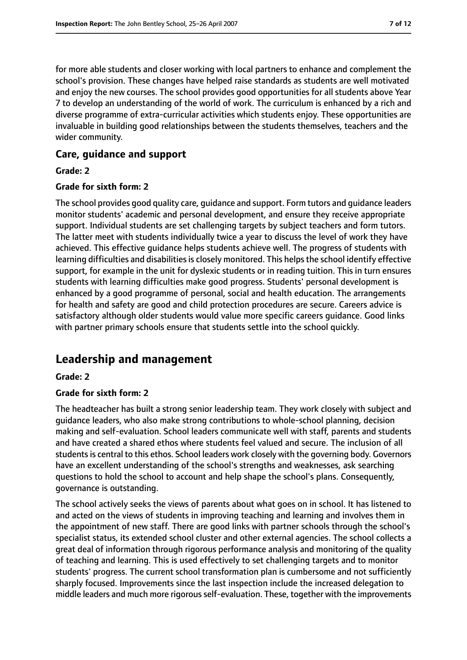for more able students and closer working with local partners to enhance and complement the school's provision. These changes have helped raise standards as students are well motivated and enjoy the new courses. The school provides good opportunities for all students above Year 7 to develop an understanding of the world of work. The curriculum is enhanced by a rich and diverse programme of extra-curricular activities which students enjoy. These opportunities are invaluable in building good relationships between the students themselves, teachers and the wider community.

### **Care, guidance and support**

#### **Grade: 2**

#### **Grade for sixth form: 2**

The school provides good quality care, guidance and support. Form tutors and guidance leaders monitor students' academic and personal development, and ensure they receive appropriate support. Individual students are set challenging targets by subject teachers and form tutors. The latter meet with students individually twice a year to discuss the level of work they have achieved. This effective guidance helps students achieve well. The progress of students with learning difficulties and disabilities is closely monitored. This helps the school identify effective support, for example in the unit for dyslexic students or in reading tuition. This in turn ensures students with learning difficulties make good progress. Students' personal development is enhanced by a good programme of personal, social and health education. The arrangements for health and safety are good and child protection procedures are secure. Careers advice is satisfactory although older students would value more specific careers guidance. Good links with partner primary schools ensure that students settle into the school quickly.

# **Leadership and management**

#### **Grade: 2**

#### **Grade for sixth form: 2**

The headteacher has built a strong senior leadership team. They work closely with subject and guidance leaders, who also make strong contributions to whole-school planning, decision making and self-evaluation. School leaders communicate well with staff, parents and students and have created a shared ethos where students feel valued and secure. The inclusion of all students is central to this ethos. School leaders work closely with the governing body. Governors have an excellent understanding of the school's strengths and weaknesses, ask searching questions to hold the school to account and help shape the school's plans. Consequently, governance is outstanding.

The school actively seeks the views of parents about what goes on in school. It has listened to and acted on the views of students in improving teaching and learning and involves them in the appointment of new staff. There are good links with partner schools through the school's specialist status, its extended school cluster and other external agencies. The school collects a great deal of information through rigorous performance analysis and monitoring of the quality of teaching and learning. This is used effectively to set challenging targets and to monitor students' progress. The current school transformation plan is cumbersome and not sufficiently sharply focused. Improvements since the last inspection include the increased delegation to middle leaders and much more rigorous self-evaluation. These, together with the improvements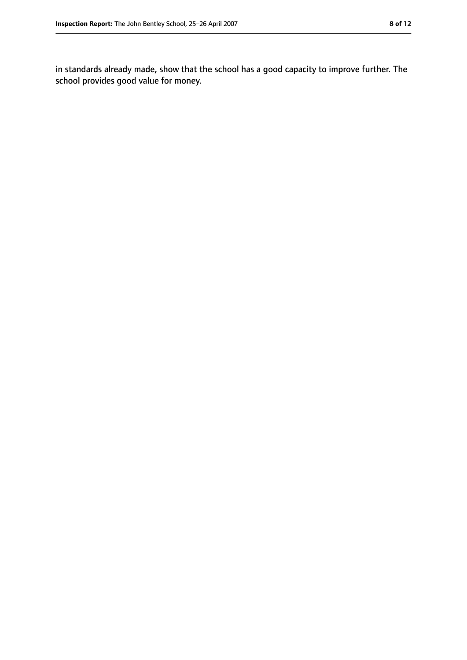in standards already made, show that the school has a good capacity to improve further. The school provides good value for money.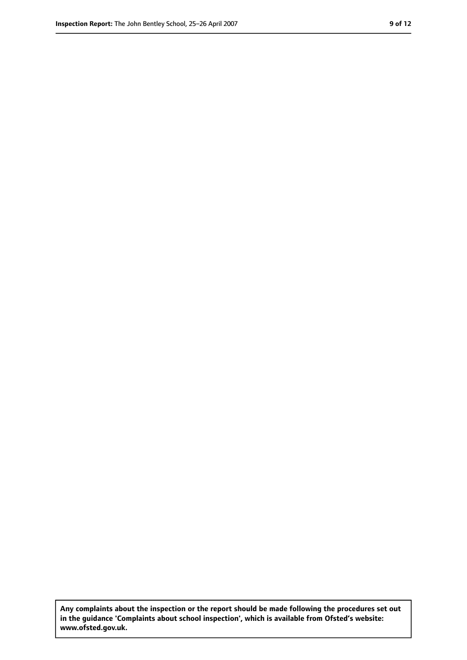**Any complaints about the inspection or the report should be made following the procedures set out in the guidance 'Complaints about school inspection', which is available from Ofsted's website: www.ofsted.gov.uk.**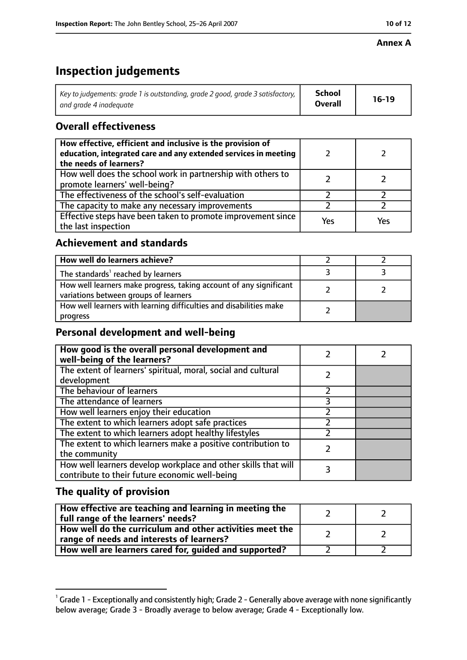#### **Annex A**

# **Inspection judgements**

| Key to judgements: grade 1 is outstanding, grade 2 good, grade 3 satisfactory, $\vert$ | School         | $16-19$ |
|----------------------------------------------------------------------------------------|----------------|---------|
| and arade 4 inadeauate                                                                 | <b>Overall</b> |         |

## **Overall effectiveness**

| How effective, efficient and inclusive is the provision of<br>education, integrated care and any extended services in meeting<br>the needs of learners? |     |     |
|---------------------------------------------------------------------------------------------------------------------------------------------------------|-----|-----|
| How well does the school work in partnership with others to<br>promote learners' well-being?                                                            |     |     |
| The effectiveness of the school's self-evaluation                                                                                                       |     |     |
| The capacity to make any necessary improvements                                                                                                         |     |     |
| Effective steps have been taken to promote improvement since<br>the last inspection                                                                     | Yes | Yes |

## **Achievement and standards**

| How well do learners achieve?                                                                               |  |
|-------------------------------------------------------------------------------------------------------------|--|
| The standards <sup>1</sup> reached by learners                                                              |  |
| How well learners make progress, taking account of any significant<br>variations between groups of learners |  |
| How well learners with learning difficulties and disabilities make<br>progress                              |  |

# **Personal development and well-being**

| How good is the overall personal development and<br>well-being of the learners?                                  |  |
|------------------------------------------------------------------------------------------------------------------|--|
| The extent of learners' spiritual, moral, social and cultural<br>development                                     |  |
| The behaviour of learners                                                                                        |  |
| The attendance of learners                                                                                       |  |
| How well learners enjoy their education                                                                          |  |
| The extent to which learners adopt safe practices                                                                |  |
| The extent to which learners adopt healthy lifestyles                                                            |  |
| The extent to which learners make a positive contribution to<br>the community                                    |  |
| How well learners develop workplace and other skills that will<br>contribute to their future economic well-being |  |

## **The quality of provision**

| How effective are teaching and learning in meeting the<br>full range of the learners' needs?          |  |
|-------------------------------------------------------------------------------------------------------|--|
| How well do the curriculum and other activities meet the<br>range of needs and interests of learners? |  |
| How well are learners cared for, guided and supported?                                                |  |

 $^1$  Grade 1 - Exceptionally and consistently high; Grade 2 - Generally above average with none significantly below average; Grade 3 - Broadly average to below average; Grade 4 - Exceptionally low.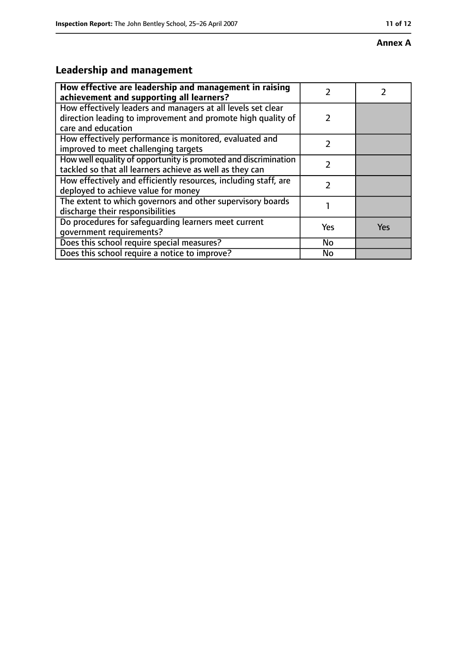#### **Annex A**

# **Leadership and management**

| How effective are leadership and management in raising<br>achievement and supporting all learners?                                                 |               |     |
|----------------------------------------------------------------------------------------------------------------------------------------------------|---------------|-----|
| How effectively leaders and managers at all levels set clear<br>direction leading to improvement and promote high quality of<br>care and education | $\mathcal{P}$ |     |
| How effectively performance is monitored, evaluated and<br>improved to meet challenging targets                                                    | 7             |     |
| How well equality of opportunity is promoted and discrimination<br>tackled so that all learners achieve as well as they can                        | 7             |     |
| How effectively and efficiently resources, including staff, are<br>deployed to achieve value for money                                             | 7             |     |
| The extent to which governors and other supervisory boards<br>discharge their responsibilities                                                     |               |     |
| Do procedures for safeguarding learners meet current<br>qovernment requirements?                                                                   | Yes           | Yes |
| Does this school require special measures?                                                                                                         | No            |     |
| Does this school require a notice to improve?                                                                                                      | No            |     |